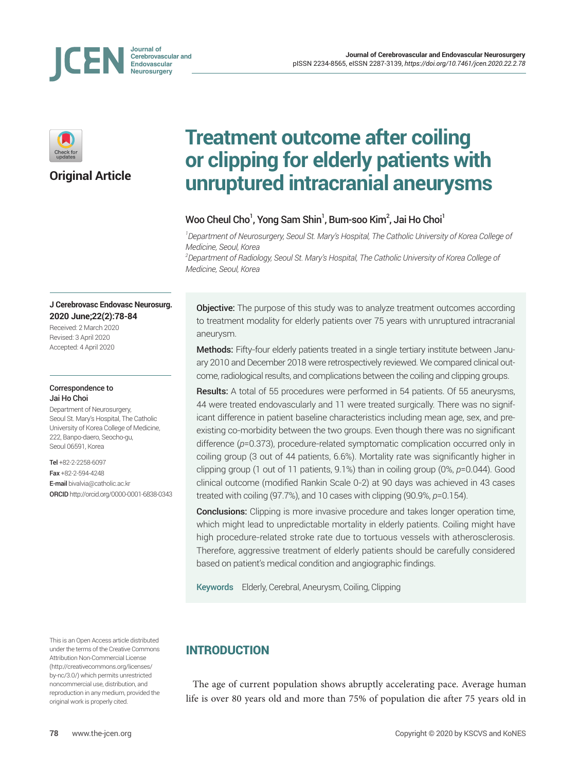





**Original Article**

# **Treatment outcome after coiling or clipping for elderly patients with unruptured intracranial aneurysms**

# Woo Cheul Cho<sup>1</sup>, Yong Sam Shin<sup>1</sup>, Bum-soo Kim<sup>2</sup>, Jai Ho Choi<sup>1</sup>

*1 Department of Neurosurgery, Seoul St. Mary's Hospital, The Catholic University of Korea College of Medicine, Seoul, Korea*

*2 Department of Radiology, Seoul St. Mary's Hospital, The Catholic University of Korea College of Medicine, Seoul, Korea*

#### **J Cerebrovasc Endovasc Neurosurg. 2020 June;22(2):78-84**

Received: 2 March 2020 Revised: 3 April 2020 Accepted: 4 April 2020

#### Correspondence to Jai Ho Choi

Department of Neurosurgery, Seoul St. Mary's Hospital, The Catholic University of Korea College of Medicine, 222, Banpo-daero, Seocho-gu, Seoul 06591, Korea

Tel +82-2-2258-6097 Fax +82-2-594-4248 E-mail bivalvia@catholic.ac.kr ORCID http://orcid.org/0000-0001-6838-0343

This is an Open Access article distributed under the terms of the Creative Commons Attribution Non-Commercial License (http://creativecommons.org/licenses/ by-nc/3.0/) which permits unrestricted noncommercial use, distribution, and reproduction in any medium, provided the original work is properly cited.

**Objective:** The purpose of this study was to analyze treatment outcomes according to treatment modality for elderly patients over 75 years with unruptured intracranial aneurysm.

Methods: Fifty-four elderly patients treated in a single tertiary institute between January 2010 and December 2018 were retrospectively reviewed. We compared clinical outcome, radiological results, and complications between the coiling and clipping groups.

Results: A total of 55 procedures were performed in 54 patients. Of 55 aneurysms, 44 were treated endovascularly and 11 were treated surgically. There was no significant difference in patient baseline characteristics including mean age, sex, and preexisting co-morbidity between the two groups. Even though there was no significant difference (*p*=0.373), procedure-related symptomatic complication occurred only in coiling group (3 out of 44 patients, 6.6%). Mortality rate was significantly higher in clipping group (1 out of 11 patients, 9.1%) than in coiling group (0%, *p*=0.044). Good clinical outcome (modified Rankin Scale 0-2) at 90 days was achieved in 43 cases treated with coiling (97.7%), and 10 cases with clipping (90.9%, *p*=0.154).

**Conclusions:** Clipping is more invasive procedure and takes longer operation time, which might lead to unpredictable mortality in elderly patients. Coiling might have high procedure-related stroke rate due to tortuous vessels with atherosclerosis. Therefore, aggressive treatment of elderly patients should be carefully considered based on patient's medical condition and angiographic findings.

Keywords Elderly, Cerebral, Aneurysm, Coiling, Clipping

# INTRODUCTION

The age of current population shows abruptly accelerating pace. Average human life is over 80 years old and more than 75% of population die after 75 years old in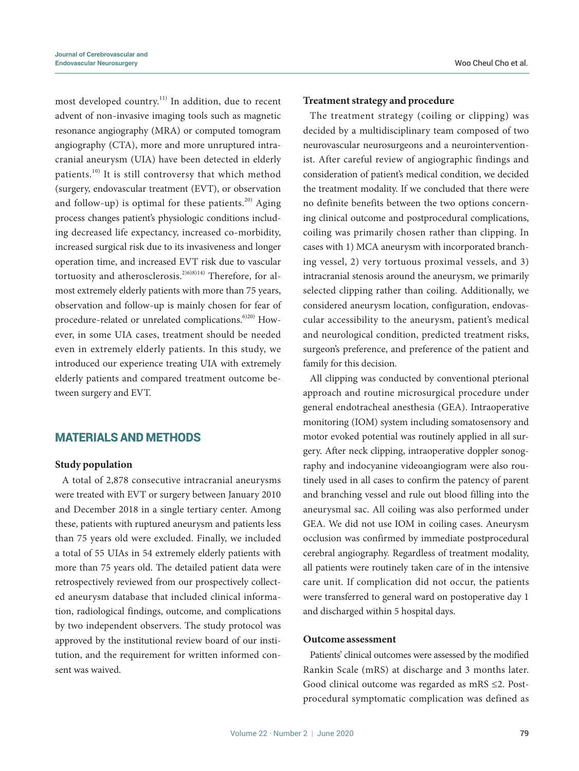most developed country.<sup>11)</sup> In addition, due to recent advent of non-invasive imaging tools such as magnetic resonance angiography (MRA) or computed tomogram angiography (CTA), more and more unruptured intracranial aneurysm (UIA) have been detected in elderly patients.<sup>10)</sup> It is still controversy that which method (surgery, endovascular treatment (EVT), or observation and follow-up) is optimal for these patients. $20$  Aging process changes patient's physiologic conditions including decreased life expectancy, increased co-morbidity, increased surgical risk due to its invasiveness and longer operation time, and increased EVT risk due to vascular tortuosity and atherosclerosis.<sup>2)6)8)14)</sup> Therefore, for almost extremely elderly patients with more than 75 years, observation and follow-up is mainly chosen for fear of procedure-related or unrelated complications.<sup>6)20)</sup> However, in some UIA cases, treatment should be needed even in extremely elderly patients. In this study, we introduced our experience treating UIA with extremely elderly patients and compared treatment outcome between surgery and EVT.

## MATERIALS AND METHODS

#### **Study population**

A total of 2,878 consecutive intracranial aneurysms were treated with EVT or surgery between January 2010 and December 2018 in a single tertiary center. Among these, patients with ruptured aneurysm and patients less than 75 years old were excluded. Finally, we included a total of 55 UIAs in 54 extremely elderly patients with more than 75 years old. The detailed patient data were retrospectively reviewed from our prospectively collected aneurysm database that included clinical information, radiological findings, outcome, and complications by two independent observers. The study protocol was approved by the institutional review board of our institution, and the requirement for written informed consent was waived.

#### **Treatment strategy and procedure**

The treatment strategy (coiling or clipping) was decided by a multidisciplinary team composed of two neurovascular neurosurgeons and a neurointerventionist. After careful review of angiographic findings and consideration of patient's medical condition, we decided the treatment modality. If we concluded that there were no definite benefits between the two options concerning clinical outcome and postprocedural complications, coiling was primarily chosen rather than clipping. In cases with 1) MCA aneurysm with incorporated branching vessel, 2) very tortuous proximal vessels, and 3) intracranial stenosis around the aneurysm, we primarily selected clipping rather than coiling. Additionally, we considered aneurysm location, configuration, endovascular accessibility to the aneurysm, patient's medical and neurological condition, predicted treatment risks, surgeon's preference, and preference of the patient and family for this decision.

All clipping was conducted by conventional pterional approach and routine microsurgical procedure under general endotracheal anesthesia (GEA). Intraoperative monitoring (IOM) system including somatosensory and motor evoked potential was routinely applied in all surgery. After neck clipping, intraoperative doppler sonography and indocyanine videoangiogram were also routinely used in all cases to confirm the patency of parent and branching vessel and rule out blood filling into the aneurysmal sac. All coiling was also performed under GEA. We did not use IOM in coiling cases. Aneurysm occlusion was confirmed by immediate postprocedural cerebral angiography. Regardless of treatment modality, all patients were routinely taken care of in the intensive care unit. If complication did not occur, the patients were transferred to general ward on postoperative day 1 and discharged within 5 hospital days.

#### **Outcome assessment**

Patients' clinical outcomes were assessed by the modified Rankin Scale (mRS) at discharge and 3 months later. Good clinical outcome was regarded as mRS ≤2. Postprocedural symptomatic complication was defined as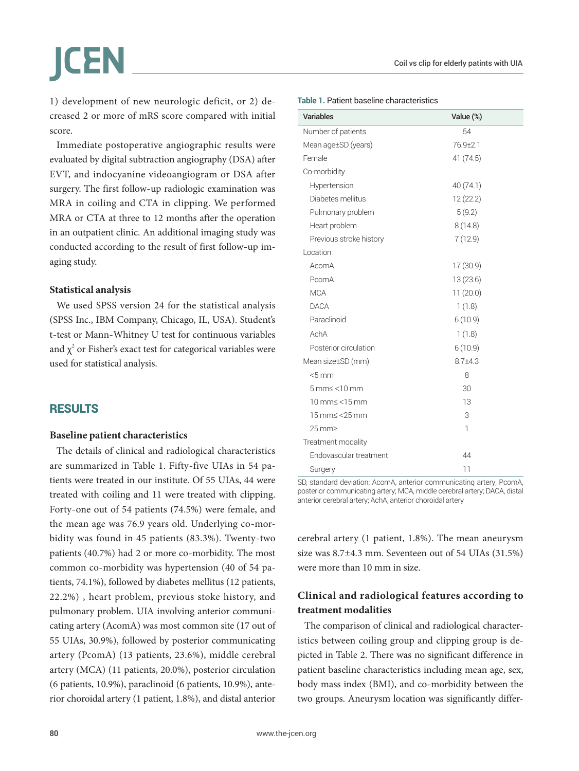1) development of new neurologic deficit, or 2) decreased 2 or more of mRS score compared with initial score.

Immediate postoperative angiographic results were evaluated by digital subtraction angiography (DSA) after EVT, and indocyanine videoangiogram or DSA after surgery. The first follow-up radiologic examination was MRA in coiling and CTA in clipping. We performed MRA or CTA at three to 12 months after the operation in an outpatient clinic. An additional imaging study was conducted according to the result of first follow-up imaging study.

#### **Statistical analysis**

We used SPSS version 24 for the statistical analysis (SPSS Inc., IBM Company, Chicago, IL, USA). Student's t-test or Mann-Whitney U test for continuous variables and  $\chi^2$  or Fisher's exact test for categorical variables were used for statistical analysis.

## RESULTS

#### **Baseline patient characteristics**

The details of clinical and radiological characteristics are summarized in Table 1. Fifty-five UIAs in 54 patients were treated in our institute. Of 55 UIAs, 44 were treated with coiling and 11 were treated with clipping. Forty-one out of 54 patients (74.5%) were female, and the mean age was 76.9 years old. Underlying co-morbidity was found in 45 patients (83.3%). Twenty-two patients (40.7%) had 2 or more co-morbidity. The most common co-morbidity was hypertension (40 of 54 patients, 74.1%), followed by diabetes mellitus (12 patients, 22.2%) , heart problem, previous stoke history, and pulmonary problem. UIA involving anterior communicating artery (AcomA) was most common site (17 out of 55 UIAs, 30.9%), followed by posterior communicating artery (PcomA) (13 patients, 23.6%), middle cerebral artery (MCA) (11 patients, 20.0%), posterior circulation (6 patients, 10.9%), paraclinoid (6 patients, 10.9%), anterior choroidal artery (1 patient, 1.8%), and distal anterior

| Variables               | Value (%)    |
|-------------------------|--------------|
| Number of patients      | 54           |
| Mean age±SD (years)     | 76.9±2.1     |
| Female                  | 41 (74.5)    |
| Co-morbidity            |              |
| Hypertension            | 40 (74.1)    |
| Diabetes mellitus       | 12 (22.2)    |
| Pulmonary problem       | 5(9.2)       |
| Heart problem           | 8(14.8)      |
| Previous stroke history | 7(12.9)      |
| Location                |              |
| AcomA                   | 17(30.9)     |
| PcomA                   | 13 (23.6)    |
| <b>MCA</b>              | 11(20.0)     |
| <b>DACA</b>             | 1(1.8)       |
| Paraclinoid             | 6(10.9)      |
| AchA                    | 1(1.8)       |
| Posterior circulation   | 6(10.9)      |
| Mean size±SD (mm)       | $8.7 + 4.3$  |
| $< 5$ mm                | 8            |
| $5$ mm $\le$ < 10 mm    | 30           |
| $10$ mm $\le$ $15$ mm   | 13           |
| 15 mm < < 25 mm         | 3            |
| 25 mm≥                  | $\mathbf{1}$ |
| Treatment modality      |              |
| Endovascular treatment  | 44           |
| Surgery                 | 11           |

#### **Table 1.** Patient baseline characteristics

SD, standard deviation; AcomA, anterior communicating artery; PcomA, posterior communicating artery; MCA, middle cerebral artery; DACA, distal anterior cerebral artery; AchA, anterior choroidal artery

cerebral artery (1 patient, 1.8%). The mean aneurysm size was 8.7±4.3 mm. Seventeen out of 54 UIAs (31.5%) were more than 10 mm in size.

# **Clinical and radiological features according to treatment modalities**

The comparison of clinical and radiological characteristics between coiling group and clipping group is depicted in Table 2. There was no significant difference in patient baseline characteristics including mean age, sex, body mass index (BMI), and co-morbidity between the two groups. Aneurysm location was significantly differ-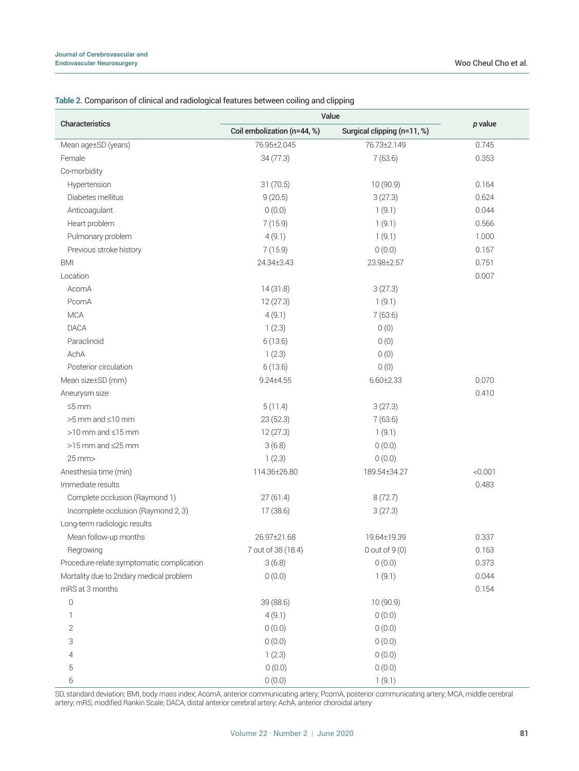| Characteristics                           | Value                       |                             |           |
|-------------------------------------------|-----------------------------|-----------------------------|-----------|
|                                           | Coil embolization (n=44, %) | Surgical clipping (n=11, %) | $p$ value |
| Mean age±SD (years)                       | 76.95±2.045                 | 76.73±2.149                 | 0.745     |
| Female                                    | 34(77.3)                    | 7(63.6)                     | 0.353     |
| Co-morbidity                              |                             |                             |           |
| Hypertension                              | 31(70.5)                    | 10(90.9)                    | 0.164     |
| Diabetes mellitus                         | 9(20.5)                     | 3(27.3)                     | 0.624     |
| Anticoagulant                             | 0(0.0)                      | 1(9.1)                      | 0.044     |
| Heart problem                             | 7(15.9)                     | 1(9.1)                      | 0.566     |
| Pulmonary problem                         | 4(9.1)                      | 1(9.1)                      | 1.000     |
| Previous stroke history                   | 7(15.9)                     | 0(0.0)                      | 0.157     |
| <b>BMI</b>                                | 24.34±3.43                  | 23.98±2.57                  | 0.751     |
| Location                                  |                             |                             | 0.007     |
| AcomA                                     | 14(31.8)                    | 3(27.3)                     |           |
| PcomA                                     | 12(27.3)                    | 1(9.1)                      |           |
| <b>MCA</b>                                | 4(9.1)                      | 7(63.6)                     |           |
| <b>DACA</b>                               | 1(2.3)                      | 0(0)                        |           |
| Paraclinoid                               | 6(13.6)                     | 0(0)                        |           |
| AchA                                      | 1(2.3)                      | 0(0)                        |           |
| Posterior circulation                     | 6(13.6)                     | 0(0)                        |           |
| Mean size±SD (mm)                         | $9.24 \pm 4.55$             | $6.60 \pm 2.33$             | 0.070     |
| Aneurysm size                             |                             |                             | 0.410     |
| $\leq 5$ mm                               | 5(11.4)                     | 3(27.3)                     |           |
| $>5$ mm and $\leq$ 10 mm                  | 23(52.3)                    | 7(63.6)                     |           |
| $>10$ mm and $\leq 15$ mm                 | 12(27.3)                    | 1(9.1)                      |           |
| $>15$ mm and $\leq$ 25 mm                 | 3(6.8)                      | 0(0.0)                      |           |
| 25 mm>                                    | 1(2.3)                      | 0(0.0)                      |           |
| Anesthesia time (min)                     | 114.36±26.80                | 189.54±34.27                | < 0.001   |
| Immediate results                         |                             |                             | 0.483     |
| Complete occlusion (Raymond 1)            | 27(61.4)                    | 8(72.7)                     |           |
| Incomplete occlusion (Raymond 2, 3)       | 17 (38.6)                   | 3(27.3)                     |           |
| Long-term radiologic results              |                             |                             |           |
| Mean follow-up months                     | 26.97±21.68                 | 19.64±19.39                 | 0.337     |
| Regrowing                                 | 7 out of 38 (18.4)          | $0$ out of $9(0)$           | 0.163     |
| Procedure-relate symptomatic complication | 3(6.8)                      | 0(0.0)                      | 0.373     |
| Mortality due to 2ndary medical problem   | 0(0.0)                      | 1(9.1)                      | 0.044     |
| mRS at 3 months                           |                             |                             | 0.154     |
| $\mathsf{O}$                              | 39 (88.6)                   | 10(90.9)                    |           |
| $\mathbf{1}$                              | 4(9.1)                      | 0(0.0)                      |           |
| 2                                         | 0(0.0)                      | 0(0.0)                      |           |
| 3                                         | 0(0.0)                      | 0(0.0)                      |           |
| 4                                         | 1(2.3)                      | 0(0.0)                      |           |
| 5                                         | 0(0.0)                      | 0(0.0)                      |           |
| 6                                         | 0(0.0)                      | 1(9.1)                      |           |

#### **Table 2.** Comparison of clinical and radiological features between coiling and clipping

SD, standard deviation; BMI, body mass index; AcomA, anterior communicating artery; PcomA, posterior communicating artery; MCA, middle cerebral artery; mRS, modified Rankin Scale; DACA, distal anterior cerebral artery; AchA, anterior choroidal artery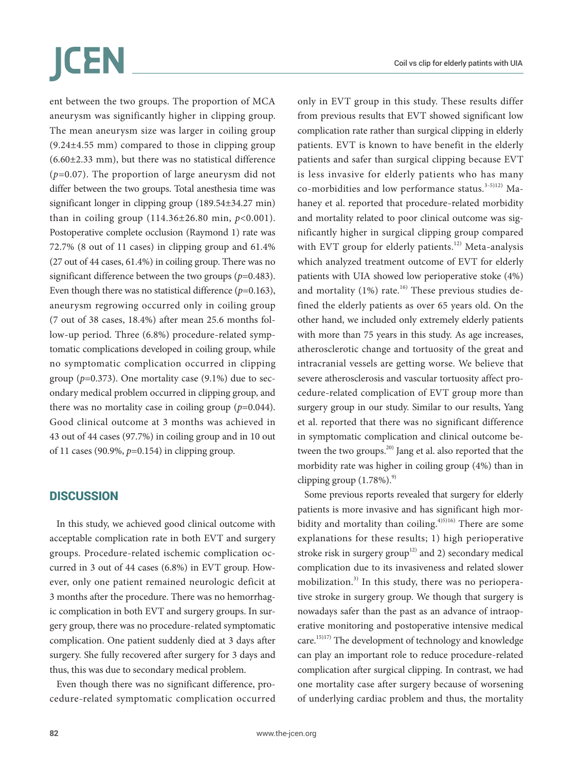# ICEN

ent between the two groups. The proportion of MCA aneurysm was significantly higher in clipping group. The mean aneurysm size was larger in coiling group (9.24±4.55 mm) compared to those in clipping group (6.60±2.33 mm), but there was no statistical difference (*p*=0.07). The proportion of large aneurysm did not differ between the two groups. Total anesthesia time was significant longer in clipping group (189.54±34.27 min) than in coiling group (114.36±26.80 min, *p*<0.001). Postoperative complete occlusion (Raymond 1) rate was 72.7% (8 out of 11 cases) in clipping group and 61.4% (27 out of 44 cases, 61.4%) in coiling group. There was no significant difference between the two groups (*p*=0.483). Even though there was no statistical difference (*p*=0.163), aneurysm regrowing occurred only in coiling group (7 out of 38 cases, 18.4%) after mean 25.6 months follow-up period. Three (6.8%) procedure-related symptomatic complications developed in coiling group, while no symptomatic complication occurred in clipping group ( $p=0.373$ ). One mortality case (9.1%) due to secondary medical problem occurred in clipping group, and there was no mortality case in coiling group  $(p=0.044)$ . Good clinical outcome at 3 months was achieved in 43 out of 44 cases (97.7%) in coiling group and in 10 out of 11 cases (90.9%, *p*=0.154) in clipping group.

# **DISCUSSION**

In this study, we achieved good clinical outcome with acceptable complication rate in both EVT and surgery groups. Procedure-related ischemic complication occurred in 3 out of 44 cases (6.8%) in EVT group. However, only one patient remained neurologic deficit at 3 months after the procedure. There was no hemorrhagic complication in both EVT and surgery groups. In surgery group, there was no procedure-related symptomatic complication. One patient suddenly died at 3 days after surgery. She fully recovered after surgery for 3 days and thus, this was due to secondary medical problem.

Even though there was no significant difference, procedure-related symptomatic complication occurred only in EVT group in this study. These results differ from previous results that EVT showed significant low complication rate rather than surgical clipping in elderly patients. EVT is known to have benefit in the elderly patients and safer than surgical clipping because EVT is less invasive for elderly patients who has many co-morbidities and low performance status.<sup>3-5)12)</sup> Mahaney et al. reported that procedure-related morbidity and mortality related to poor clinical outcome was significantly higher in surgical clipping group compared with EVT group for elderly patients.<sup>12)</sup> Meta-analysis which analyzed treatment outcome of EVT for elderly patients with UIA showed low perioperative stoke (4%) and mortality  $(1\%)$  rate.<sup>16)</sup> These previous studies defined the elderly patients as over 65 years old. On the other hand, we included only extremely elderly patients with more than 75 years in this study. As age increases, atherosclerotic change and tortuosity of the great and intracranial vessels are getting worse. We believe that severe atherosclerosis and vascular tortuosity affect procedure-related complication of EVT group more than surgery group in our study. Similar to our results, Yang et al. reported that there was no significant difference in symptomatic complication and clinical outcome between the two groups.<sup>20)</sup> Jang et al. also reported that the morbidity rate was higher in coiling group (4%) than in clipping group  $(1.78\%)$ .<sup>9)</sup>

Some previous reports revealed that surgery for elderly patients is more invasive and has significant high morbidity and mortality than coiling. $4^{15}$ <sup>15)16</sup> There are some explanations for these results; 1) high perioperative stroke risk in surgery group<sup>12)</sup> and 2) secondary medical complication due to its invasiveness and related slower mobilization.<sup>3)</sup> In this study, there was no perioperative stroke in surgery group. We though that surgery is nowadays safer than the past as an advance of intraoperative monitoring and postoperative intensive medical care.15)17) The development of technology and knowledge can play an important role to reduce procedure-related complication after surgical clipping. In contrast, we had one mortality case after surgery because of worsening of underlying cardiac problem and thus, the mortality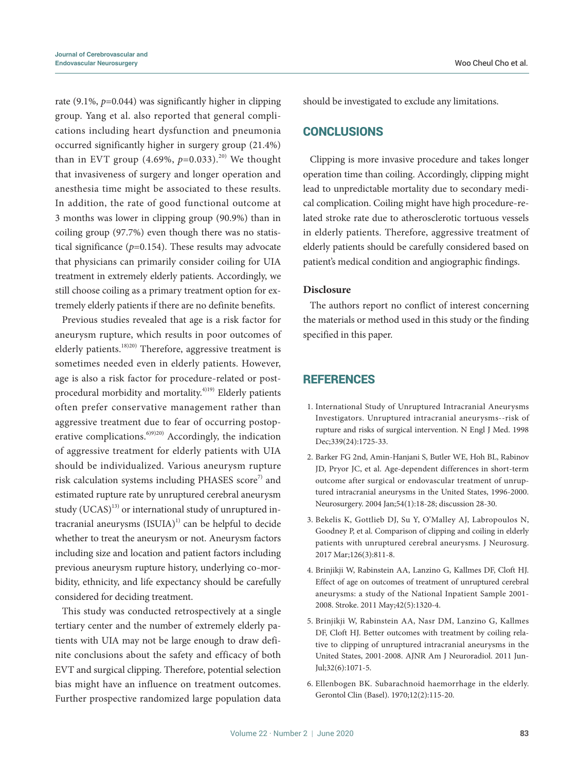rate (9.1%, *p*=0.044) was significantly higher in clipping group. Yang et al. also reported that general complications including heart dysfunction and pneumonia occurred significantly higher in surgery group (21.4%) than in EVT group (4.69%,  $p=0.033$ ).<sup>20)</sup> We thought that invasiveness of surgery and longer operation and anesthesia time might be associated to these results. In addition, the rate of good functional outcome at 3 months was lower in clipping group (90.9%) than in coiling group (97.7%) even though there was no statistical significance (*p*=0.154). These results may advocate that physicians can primarily consider coiling for UIA treatment in extremely elderly patients. Accordingly, we still choose coiling as a primary treatment option for extremely elderly patients if there are no definite benefits.

Previous studies revealed that age is a risk factor for aneurysm rupture, which results in poor outcomes of elderly patients.<sup>18)20)</sup> Therefore, aggressive treatment is sometimes needed even in elderly patients. However, age is also a risk factor for procedure-related or postprocedural morbidity and mortality.<sup>4)19)</sup> Elderly patients often prefer conservative management rather than aggressive treatment due to fear of occurring postoperative complications.<sup>6)9)20)</sup> Accordingly, the indication of aggressive treatment for elderly patients with UIA should be individualized. Various aneurysm rupture risk calculation systems including PHASES score<sup>7)</sup> and estimated rupture rate by unruptured cerebral aneurysm study  $(UCAS)^{13}$  or international study of unruptured intracranial aneurysms  $(ISUIA)^{1}$  can be helpful to decide whether to treat the aneurysm or not. Aneurysm factors including size and location and patient factors including previous aneurysm rupture history, underlying co-morbidity, ethnicity, and life expectancy should be carefully considered for deciding treatment.

This study was conducted retrospectively at a single tertiary center and the number of extremely elderly patients with UIA may not be large enough to draw definite conclusions about the safety and efficacy of both EVT and surgical clipping. Therefore, potential selection bias might have an influence on treatment outcomes. Further prospective randomized large population data should be investigated to exclude any limitations.

## **CONCLUSIONS**

Clipping is more invasive procedure and takes longer operation time than coiling. Accordingly, clipping might lead to unpredictable mortality due to secondary medical complication. Coiling might have high procedure-related stroke rate due to atherosclerotic tortuous vessels in elderly patients. Therefore, aggressive treatment of elderly patients should be carefully considered based on patient's medical condition and angiographic findings.

#### **Disclosure**

The authors report no conflict of interest concerning the materials or method used in this study or the finding specified in this paper.

# **REFERENCES**

- 1. International Study of Unruptured Intracranial Aneurysms Investigators. Unruptured intracranial aneurysms--risk of rupture and risks of surgical intervention. N Engl J Med. 1998 Dec;339(24):1725-33.
- 2. Barker FG 2nd, Amin-Hanjani S, Butler WE, Hoh BL, Rabinov JD, Pryor JC, et al. Age-dependent differences in short-term outcome after surgical or endovascular treatment of unruptured intracranial aneurysms in the United States, 1996-2000. Neurosurgery. 2004 Jan;54(1):18-28; discussion 28-30.
- 3. Bekelis K, Gottlieb DJ, Su Y, O'Malley AJ, Labropoulos N, Goodney P, et al. Comparison of clipping and coiling in elderly patients with unruptured cerebral aneurysms. J Neurosurg. 2017 Mar;126(3):811-8.
- 4. Brinjikji W, Rabinstein AA, Lanzino G, Kallmes DF, Cloft HJ. Effect of age on outcomes of treatment of unruptured cerebral aneurysms: a study of the National Inpatient Sample 2001- 2008. Stroke. 2011 May;42(5):1320-4.
- 5. Brinjikji W, Rabinstein AA, Nasr DM, Lanzino G, Kallmes DF, Cloft HJ. Better outcomes with treatment by coiling relative to clipping of unruptured intracranial aneurysms in the United States, 2001-2008. AJNR Am J Neuroradiol. 2011 Jun-Jul;32(6):1071-5.
- 6. Ellenbogen BK. Subarachnoid haemorrhage in the elderly. Gerontol Clin (Basel). 1970;12(2):115-20.